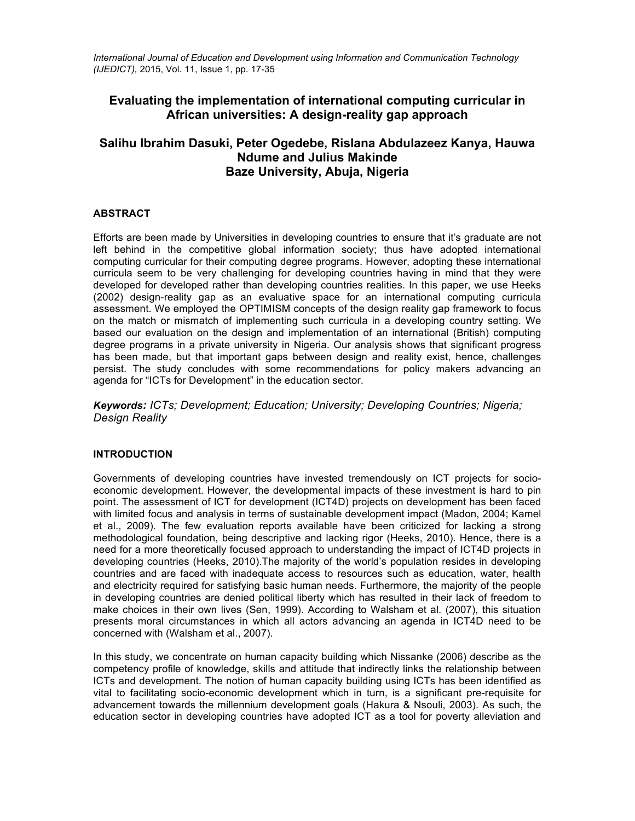*International Journal of Education and Development using Information and Communication Technology (IJEDICT),* 2015, Vol. 11, Issue 1, pp. 17-35

## **Evaluating the implementation of international computing curricular in African universities: A design-reality gap approach**

## **Salihu Ibrahim Dasuki, Peter Ogedebe, Rislana Abdulazeez Kanya, Hauwa Ndume and Julius Makinde Baze University, Abuja, Nigeria**

## **ABSTRACT**

Efforts are been made by Universities in developing countries to ensure that it's graduate are not left behind in the competitive global information society; thus have adopted international computing curricular for their computing degree programs. However, adopting these international curricula seem to be very challenging for developing countries having in mind that they were developed for developed rather than developing countries realities. In this paper, we use Heeks (2002) design-reality gap as an evaluative space for an international computing curricula assessment. We employed the OPTIMISM concepts of the design reality gap framework to focus on the match or mismatch of implementing such curricula in a developing country setting. We based our evaluation on the design and implementation of an international (British) computing degree programs in a private university in Nigeria. Our analysis shows that significant progress has been made, but that important gaps between design and reality exist, hence, challenges persist. The study concludes with some recommendations for policy makers advancing an agenda for "ICTs for Development" in the education sector.

*Keywords: ICTs; Development; Education; University; Developing Countries; Nigeria; Design Reality*

### **INTRODUCTION**

Governments of developing countries have invested tremendously on ICT projects for socioeconomic development. However, the developmental impacts of these investment is hard to pin point. The assessment of ICT for development (ICT4D) projects on development has been faced with limited focus and analysis in terms of sustainable development impact (Madon, 2004; Kamel et al., 2009). The few evaluation reports available have been criticized for lacking a strong methodological foundation, being descriptive and lacking rigor (Heeks, 2010). Hence, there is a need for a more theoretically focused approach to understanding the impact of ICT4D projects in developing countries (Heeks, 2010).The majority of the world's population resides in developing countries and are faced with inadequate access to resources such as education, water, health and electricity required for satisfying basic human needs. Furthermore, the majority of the people in developing countries are denied political liberty which has resulted in their lack of freedom to make choices in their own lives (Sen, 1999). According to Walsham et al. (2007), this situation presents moral circumstances in which all actors advancing an agenda in ICT4D need to be concerned with (Walsham et al., 2007).

In this study, we concentrate on human capacity building which Nissanke (2006) describe as the competency profile of knowledge, skills and attitude that indirectly links the relationship between ICTs and development. The notion of human capacity building using ICTs has been identified as vital to facilitating socio-economic development which in turn, is a significant pre-requisite for advancement towards the millennium development goals (Hakura & Nsouli, 2003). As such, the education sector in developing countries have adopted ICT as a tool for poverty alleviation and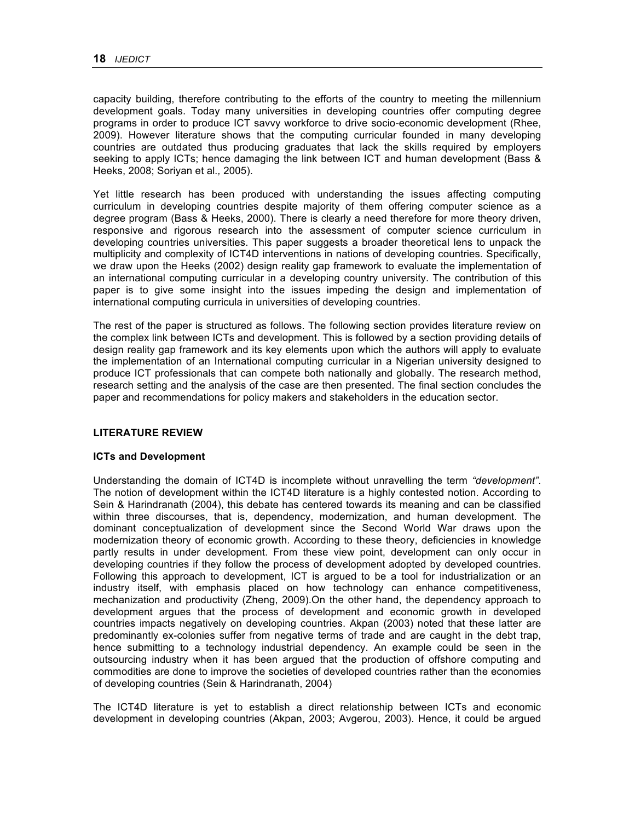capacity building, therefore contributing to the efforts of the country to meeting the millennium development goals. Today many universities in developing countries offer computing degree programs in order to produce ICT savvy workforce to drive socio-economic development (Rhee, 2009). However literature shows that the computing curricular founded in many developing countries are outdated thus producing graduates that lack the skills required by employers seeking to apply ICTs; hence damaging the link between ICT and human development (Bass & Heeks, 2008; Soriyan et al*.,* 2005).

Yet little research has been produced with understanding the issues affecting computing curriculum in developing countries despite majority of them offering computer science as a degree program (Bass & Heeks, 2000). There is clearly a need therefore for more theory driven, responsive and rigorous research into the assessment of computer science curriculum in developing countries universities. This paper suggests a broader theoretical lens to unpack the multiplicity and complexity of ICT4D interventions in nations of developing countries. Specifically, we draw upon the Heeks (2002) design reality gap framework to evaluate the implementation of an international computing curricular in a developing country university. The contribution of this paper is to give some insight into the issues impeding the design and implementation of international computing curricula in universities of developing countries.

The rest of the paper is structured as follows. The following section provides literature review on the complex link between ICTs and development. This is followed by a section providing details of design reality gap framework and its key elements upon which the authors will apply to evaluate the implementation of an International computing curricular in a Nigerian university designed to produce ICT professionals that can compete both nationally and globally. The research method, research setting and the analysis of the case are then presented. The final section concludes the paper and recommendations for policy makers and stakeholders in the education sector.

## **LITERATURE REVIEW**

### **ICTs and Development**

Understanding the domain of ICT4D is incomplete without unravelling the term *"development"*. The notion of development within the ICT4D literature is a highly contested notion. According to Sein & Harindranath (2004), this debate has centered towards its meaning and can be classified within three discourses, that is, dependency, modernization, and human development. The dominant conceptualization of development since the Second World War draws upon the modernization theory of economic growth. According to these theory, deficiencies in knowledge partly results in under development. From these view point, development can only occur in developing countries if they follow the process of development adopted by developed countries. Following this approach to development, ICT is argued to be a tool for industrialization or an industry itself, with emphasis placed on how technology can enhance competitiveness, mechanization and productivity (Zheng, 2009).On the other hand, the dependency approach to development argues that the process of development and economic growth in developed countries impacts negatively on developing countries. Akpan (2003) noted that these latter are predominantly ex-colonies suffer from negative terms of trade and are caught in the debt trap, hence submitting to a technology industrial dependency. An example could be seen in the outsourcing industry when it has been argued that the production of offshore computing and commodities are done to improve the societies of developed countries rather than the economies of developing countries (Sein & Harindranath, 2004)

The ICT4D literature is yet to establish a direct relationship between ICTs and economic development in developing countries (Akpan, 2003; Avgerou, 2003). Hence, it could be argued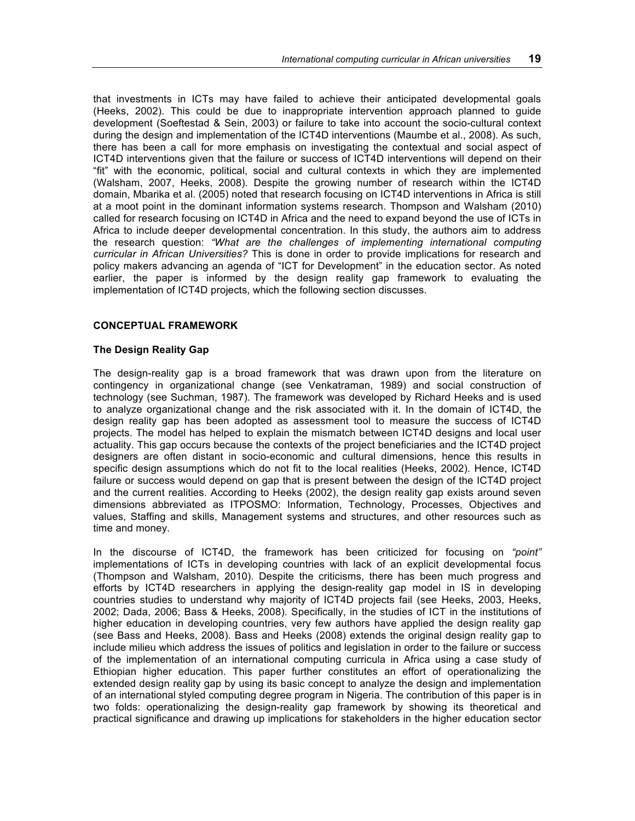that investments in ICTs may have failed to achieve their anticipated developmental goals (Heeks, 2002). This could be due to inappropriate intervention approach planned to guide development (Soeftestad & Sein, 2003) or failure to take into account the socio-cultural context during the design and implementation of the ICT4D interventions (Maumbe et al., 2008). As such, there has been a call for more emphasis on investigating the contextual and social aspect of ICT4D interventions given that the failure or success of ICT4D interventions will depend on their "fit" with the economic, political, social and cultural contexts in which they are implemented (Walsham, 2007, Heeks, 2008). Despite the growing number of research within the ICT4D domain, Mbarika et al. (2005) noted that research focusing on ICT4D interventions in Africa is still at a moot point in the dominant information systems research. Thompson and Walsham (2010) called for research focusing on ICT4D in Africa and the need to expand beyond the use of ICTs in Africa to include deeper developmental concentration. In this study, the authors aim to address the research question: *"What are the challenges of implementing international computing curricular in African Universities?* This is done in order to provide implications for research and policy makers advancing an agenda of "ICT for Development" in the education sector. As noted earlier, the paper is informed by the design reality gap framework to evaluating the implementation of ICT4D projects, which the following section discusses.

## **CONCEPTUAL FRAMEWORK**

### **The Design Reality Gap**

The design-reality gap is a broad framework that was drawn upon from the literature on contingency in organizational change (see Venkatraman, 1989) and social construction of technology (see Suchman, 1987). The framework was developed by Richard Heeks and is used to analyze organizational change and the risk associated with it. In the domain of ICT4D, the design reality gap has been adopted as assessment tool to measure the success of ICT4D projects. The model has helped to explain the mismatch between ICT4D designs and local user actuality. This gap occurs because the contexts of the project beneficiaries and the ICT4D project designers are often distant in socio-economic and cultural dimensions, hence this results in specific design assumptions which do not fit to the local realities (Heeks, 2002). Hence, ICT4D failure or success would depend on gap that is present between the design of the ICT4D project and the current realities. According to Heeks (2002), the design reality gap exists around seven dimensions abbreviated as ITPOSMO: Information, Technology, Processes, Objectives and values, Staffing and skills, Management systems and structures, and other resources such as time and money.

In the discourse of ICT4D, the framework has been criticized for focusing on *"point"*  implementations of ICTs in developing countries with lack of an explicit developmental focus (Thompson and Walsham, 2010). Despite the criticisms, there has been much progress and efforts by ICT4D researchers in applying the design-reality gap model in IS in developing countries studies to understand why majority of ICT4D projects fail (see Heeks, 2003, Heeks, 2002; Dada, 2006; Bass & Heeks, 2008). Specifically, in the studies of ICT in the institutions of higher education in developing countries, very few authors have applied the design reality gap (see Bass and Heeks, 2008). Bass and Heeks (2008) extends the original design reality gap to include milieu which address the issues of politics and legislation in order to the failure or success of the implementation of an international computing curricula in Africa using a case study of Ethiopian higher education. This paper further constitutes an effort of operationalizing the extended design reality gap by using its basic concept to analyze the design and implementation of an international styled computing degree program in Nigeria. The contribution of this paper is in two folds: operationalizing the design-reality gap framework by showing its theoretical and practical significance and drawing up implications for stakeholders in the higher education sector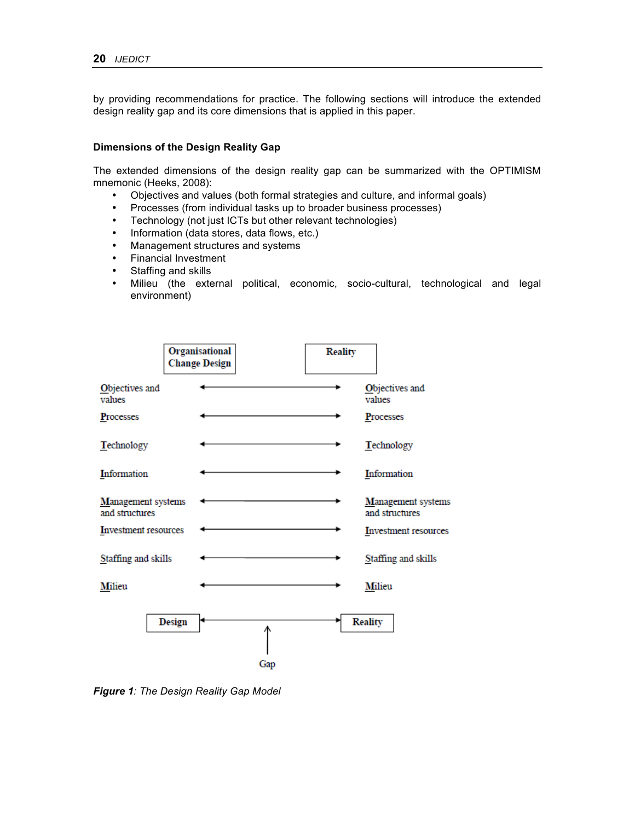by providing recommendations for practice. The following sections will introduce the extended design reality gap and its core dimensions that is applied in this paper.

### **Dimensions of the Design Reality Gap**

The extended dimensions of the design reality gap can be summarized with the OPTIMISM mnemonic (Heeks, 2008):

- Objectives and values (both formal strategies and culture, and informal goals)
- Processes (from individual tasks up to broader business processes)
- Technology (not just ICTs but other relevant technologies)<br>• Information (data stores, data flows, etc.)
- Information (data stores, data flows, etc.)
- Management structures and systems
- Financial Investment
- Staffing and skills
- Milieu (the external political, economic, socio-cultural, technological and legal environment)



*Figure 1: The Design Reality Gap Model*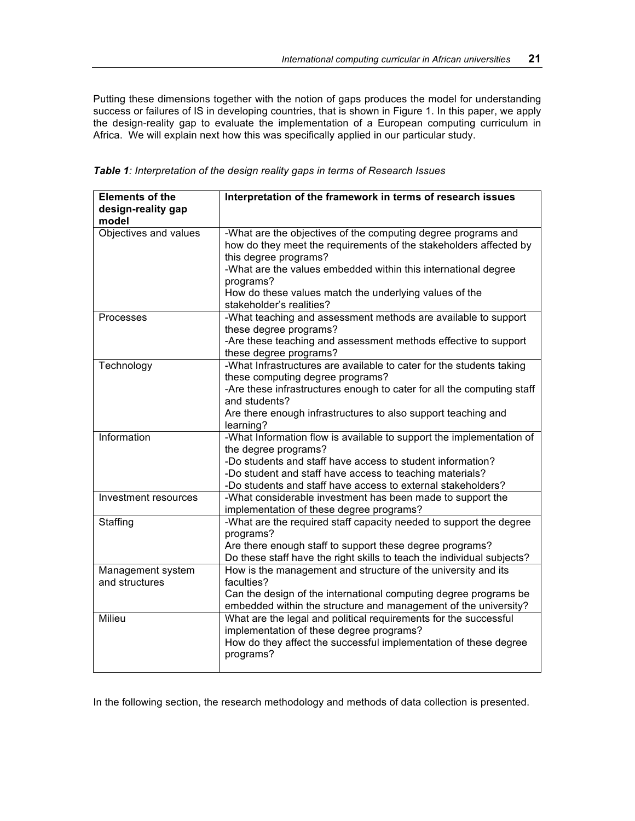Putting these dimensions together with the notion of gaps produces the model for understanding success or failures of IS in developing countries, that is shown in Figure 1. In this paper, we apply the design-reality gap to evaluate the implementation of a European computing curriculum in Africa. We will explain next how this was specifically applied in our particular study.

| <b>Elements of the</b>      | Interpretation of the framework in terms of research issues                                                                |
|-----------------------------|----------------------------------------------------------------------------------------------------------------------------|
| design-reality gap<br>model |                                                                                                                            |
| Objectives and values       | -What are the objectives of the computing degree programs and                                                              |
|                             | how do they meet the requirements of the stakeholders affected by                                                          |
|                             | this degree programs?                                                                                                      |
|                             | -What are the values embedded within this international degree                                                             |
|                             | programs?                                                                                                                  |
|                             | How do these values match the underlying values of the                                                                     |
|                             | stakeholder's realities?                                                                                                   |
| Processes                   | -What teaching and assessment methods are available to support                                                             |
|                             | these degree programs?                                                                                                     |
|                             | -Are these teaching and assessment methods effective to support                                                            |
|                             | these degree programs?                                                                                                     |
| Technology                  | -What Infrastructures are available to cater for the students taking                                                       |
|                             | these computing degree programs?                                                                                           |
|                             | -Are these infrastructures enough to cater for all the computing staff                                                     |
|                             | and students?                                                                                                              |
|                             | Are there enough infrastructures to also support teaching and                                                              |
|                             | learning?                                                                                                                  |
| Information                 | -What Information flow is available to support the implementation of                                                       |
|                             | the degree programs?                                                                                                       |
|                             | -Do students and staff have access to student information?                                                                 |
|                             | -Do student and staff have access to teaching materials?                                                                   |
| Investment resources        | -Do students and staff have access to external stakeholders?<br>-What considerable investment has been made to support the |
|                             | implementation of these degree programs?                                                                                   |
| Staffing                    | -What are the required staff capacity needed to support the degree                                                         |
|                             | programs?                                                                                                                  |
|                             | Are there enough staff to support these degree programs?                                                                   |
|                             | Do these staff have the right skills to teach the individual subjects?                                                     |
| Management system           | How is the management and structure of the university and its                                                              |
| and structures              | faculties?                                                                                                                 |
|                             | Can the design of the international computing degree programs be                                                           |
|                             | embedded within the structure and management of the university?                                                            |
| <b>Milieu</b>               | What are the legal and political requirements for the successful                                                           |
|                             | implementation of these degree programs?                                                                                   |
|                             | How do they affect the successful implementation of these degree                                                           |
|                             | programs?                                                                                                                  |

*Table 1: Interpretation of the design reality gaps in terms of Research Issues*

In the following section, the research methodology and methods of data collection is presented.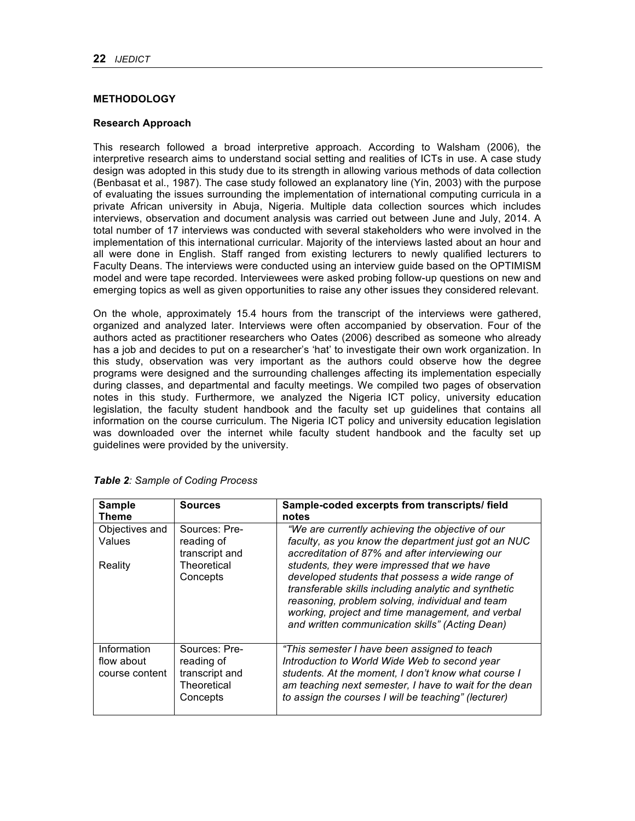## **METHODOLOGY**

### **Research Approach**

This research followed a broad interpretive approach. According to Walsham (2006), the interpretive research aims to understand social setting and realities of ICTs in use. A case study design was adopted in this study due to its strength in allowing various methods of data collection (Benbasat et al., 1987). The case study followed an explanatory line (Yin, 2003) with the purpose of evaluating the issues surrounding the implementation of international computing curricula in a private African university in Abuja, Nigeria. Multiple data collection sources which includes interviews, observation and document analysis was carried out between June and July, 2014. A total number of 17 interviews was conducted with several stakeholders who were involved in the implementation of this international curricular. Majority of the interviews lasted about an hour and all were done in English. Staff ranged from existing lecturers to newly qualified lecturers to Faculty Deans. The interviews were conducted using an interview guide based on the OPTIMISM model and were tape recorded. Interviewees were asked probing follow-up questions on new and emerging topics as well as given opportunities to raise any other issues they considered relevant.

On the whole, approximately 15.4 hours from the transcript of the interviews were gathered, organized and analyzed later. Interviews were often accompanied by observation. Four of the authors acted as practitioner researchers who Oates (2006) described as someone who already has a job and decides to put on a researcher's 'hat' to investigate their own work organization. In this study, observation was very important as the authors could observe how the degree programs were designed and the surrounding challenges affecting its implementation especially during classes, and departmental and faculty meetings. We compiled two pages of observation notes in this study. Furthermore, we analyzed the Nigeria ICT policy, university education legislation, the faculty student handbook and the faculty set up guidelines that contains all information on the course curriculum. The Nigeria ICT policy and university education legislation was downloaded over the internet while faculty student handbook and the faculty set up guidelines were provided by the university.

| <b>Sample</b>  | Sources        | Sample-coded excerpts from transcripts/field           |
|----------------|----------------|--------------------------------------------------------|
| Theme          |                | notes                                                  |
| Objectives and | Sources: Pre-  | "We are currently achieving the objective of our       |
| Values         | reading of     | faculty, as you know the department just got an NUC    |
|                | transcript and | accreditation of 87% and after interviewing our        |
| Reality        | Theoretical    | students, they were impressed that we have             |
|                | Concepts       | developed students that possess a wide range of        |
|                |                | transferable skills including analytic and synthetic   |
|                |                | reasoning, problem solving, individual and team        |
|                |                | working, project and time management, and verbal       |
|                |                | and written communication skills" (Acting Dean)        |
|                |                |                                                        |
| Information    | Sources: Pre-  | "This semester I have been assigned to teach           |
| flow about     | reading of     | Introduction to World Wide Web to second year          |
| course content | transcript and | students. At the moment, I don't know what course I    |
|                | Theoretical    | am teaching next semester, I have to wait for the dean |
|                | Concepts       | to assign the courses I will be teaching" (lecturer)   |
|                |                |                                                        |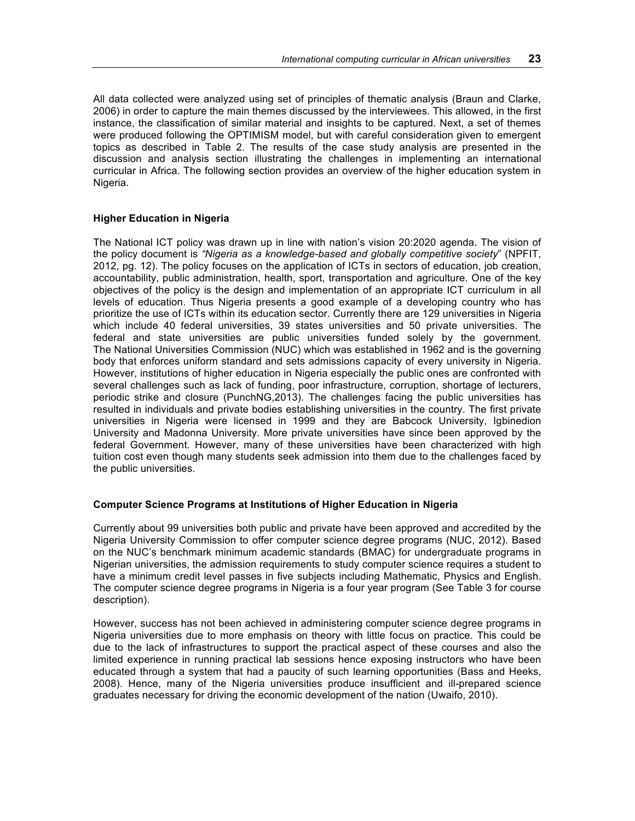All data collected were analyzed using set of principles of thematic analysis (Braun and Clarke, 2006) in order to capture the main themes discussed by the interviewees. This allowed, in the first instance, the classification of similar material and insights to be captured. Next, a set of themes were produced following the OPTIMISM model, but with careful consideration given to emergent topics as described in Table 2. The results of the case study analysis are presented in the discussion and analysis section illustrating the challenges in implementing an international curricular in Africa. The following section provides an overview of the higher education system in Nigeria.

### **Higher Education in Nigeria**

The National ICT policy was drawn up in line with nation's vision 20:2020 agenda. The vision of the policy document is *"Nigeria as a knowledge-based and globally competitive society*" (NPFIT, 2012, pg. 12). The policy focuses on the application of ICTs in sectors of education, job creation, accountability, public administration, health, sport, transportation and agriculture. One of the key objectives of the policy is the design and implementation of an appropriate ICT curriculum in all levels of education. Thus Nigeria presents a good example of a developing country who has prioritize the use of ICTs within its education sector. Currently there are 129 universities in Nigeria which include 40 federal universities, 39 states universities and 50 private universities. The federal and state universities are public universities funded solely by the government. The National Universities Commission (NUC) which was established in 1962 and is the governing body that enforces uniform standard and sets admissions capacity of every university in Nigeria. However, institutions of higher education in Nigeria especially the public ones are confronted with several challenges such as lack of funding, poor infrastructure, corruption, shortage of lecturers, periodic strike and closure (PunchNG,2013). The challenges facing the public universities has resulted in individuals and private bodies establishing universities in the country. The first private universities in Nigeria were licensed in 1999 and they are Babcock University, Igbinedion University and Madonna University. More private universities have since been approved by the federal Government. However, many of these universities have been characterized with high tuition cost even though many students seek admission into them due to the challenges faced by the public universities.

### **Computer Science Programs at Institutions of Higher Education in Nigeria**

Currently about 99 universities both public and private have been approved and accredited by the Nigeria University Commission to offer computer science degree programs (NUC, 2012). Based on the NUC's benchmark minimum academic standards (BMAC) for undergraduate programs in Nigerian universities, the admission requirements to study computer science requires a student to have a minimum credit level passes in five subjects including Mathematic, Physics and English. The computer science degree programs in Nigeria is a four year program (See Table 3 for course description).

However, success has not been achieved in administering computer science degree programs in Nigeria universities due to more emphasis on theory with little focus on practice. This could be due to the lack of infrastructures to support the practical aspect of these courses and also the limited experience in running practical lab sessions hence exposing instructors who have been educated through a system that had a paucity of such learning opportunities (Bass and Heeks, 2008). Hence, many of the Nigeria universities produce insufficient and ill-prepared science graduates necessary for driving the economic development of the nation (Uwaifo, 2010).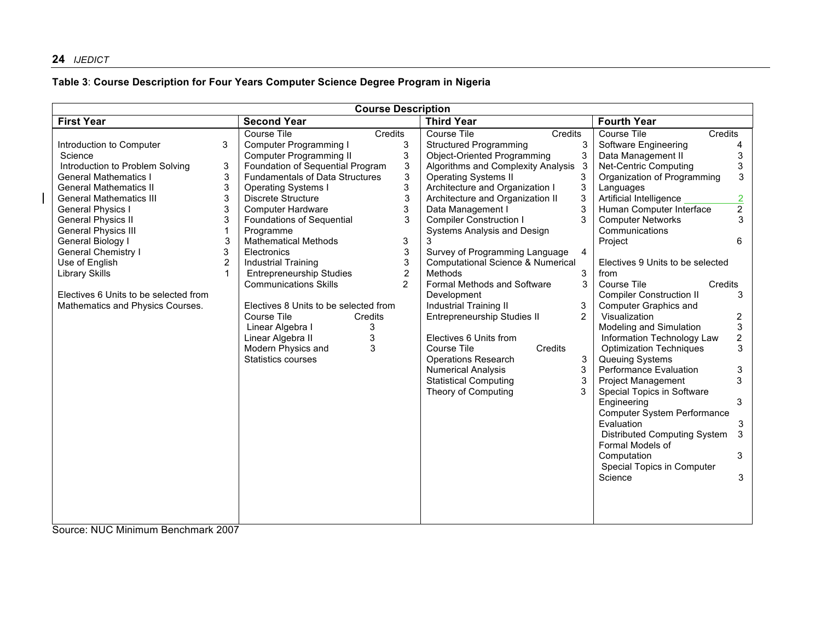## **24** *IJEDICT*

# **Table 3**: **Course Description for Four Years Computer Science Degree Program in Nigeria**

| <b>Course Description</b>                                                                                                                                                                                                                                                                                                                                                                                                     |                                                                             |                                                                                                                                                                                                                                                                                                                                                                                                                                                                                                                                                                                                                                                                                                                                     |  |                                                                                                                                                                                                                                                                                                                                                                                                                                                                                                                                                                                                                                                                                                            |                                                                                                             |                                                                                                                                                                                                                                                                                                                                                                                                                                                                                                                                                                                                                                                                             |                                                                                                                                  |
|-------------------------------------------------------------------------------------------------------------------------------------------------------------------------------------------------------------------------------------------------------------------------------------------------------------------------------------------------------------------------------------------------------------------------------|-----------------------------------------------------------------------------|-------------------------------------------------------------------------------------------------------------------------------------------------------------------------------------------------------------------------------------------------------------------------------------------------------------------------------------------------------------------------------------------------------------------------------------------------------------------------------------------------------------------------------------------------------------------------------------------------------------------------------------------------------------------------------------------------------------------------------------|--|------------------------------------------------------------------------------------------------------------------------------------------------------------------------------------------------------------------------------------------------------------------------------------------------------------------------------------------------------------------------------------------------------------------------------------------------------------------------------------------------------------------------------------------------------------------------------------------------------------------------------------------------------------------------------------------------------------|-------------------------------------------------------------------------------------------------------------|-----------------------------------------------------------------------------------------------------------------------------------------------------------------------------------------------------------------------------------------------------------------------------------------------------------------------------------------------------------------------------------------------------------------------------------------------------------------------------------------------------------------------------------------------------------------------------------------------------------------------------------------------------------------------------|----------------------------------------------------------------------------------------------------------------------------------|
| <b>First Year</b>                                                                                                                                                                                                                                                                                                                                                                                                             |                                                                             | <b>Second Year</b>                                                                                                                                                                                                                                                                                                                                                                                                                                                                                                                                                                                                                                                                                                                  |  | <b>Third Year</b>                                                                                                                                                                                                                                                                                                                                                                                                                                                                                                                                                                                                                                                                                          |                                                                                                             | <b>Fourth Year</b>                                                                                                                                                                                                                                                                                                                                                                                                                                                                                                                                                                                                                                                          |                                                                                                                                  |
| Introduction to Computer<br>Science<br>Introduction to Problem Solving<br><b>General Mathematics I</b><br><b>General Mathematics II</b><br><b>General Mathematics III</b><br>General Physics I<br><b>General Physics II</b><br><b>General Physics III</b><br>General Biology I<br>General Chemistry I<br>Use of English<br><b>Library Skills</b><br>Electives 6 Units to be selected from<br>Mathematics and Physics Courses. | 3<br>3<br>3<br>3<br>3<br>3<br>3<br>3<br>3<br>$\overline{2}$<br>$\mathbf{1}$ | Course Tile<br>Credits<br><b>Computer Programming I</b><br>3<br>Computer Programming II<br>3<br>Foundation of Sequential Program<br>3<br>3<br><b>Fundamentals of Data Structures</b><br>3<br><b>Operating Systems I</b><br>3<br>Discrete Structure<br>3<br><b>Computer Hardware</b><br>Foundations of Sequential<br>3<br>Programme<br>$\ensuremath{\mathsf{3}}$<br><b>Mathematical Methods</b><br>3<br>Electronics<br>3<br><b>Industrial Training</b><br>$\overline{2}$<br><b>Entrepreneurship Studies</b><br>$\overline{2}$<br><b>Communications Skills</b><br>Electives 8 Units to be selected from<br>Course Tile<br>Credits<br>Linear Algebra I<br>3<br>3<br>Linear Algebra II<br>3<br>Modern Physics and<br>Statistics courses |  | Credits<br>Course Tile<br><b>Structured Programming</b><br><b>Object-Oriented Programming</b><br>Algorithms and Complexity Analysis<br><b>Operating Systems II</b><br>Architecture and Organization I<br>Architecture and Organization II<br>Data Management I<br><b>Compiler Construction I</b><br>Systems Analysis and Design<br>3<br>Survey of Programming Language<br>Computational Science & Numerical<br>Methods<br>Formal Methods and Software<br>Development<br><b>Industrial Training II</b><br>Entrepreneurship Studies II<br>Electives 6 Units from<br>Credits<br>Course Tile<br><b>Operations Research</b><br><b>Numerical Analysis</b><br><b>Statistical Computing</b><br>Theory of Computing | 3<br>3<br>3<br>3<br>3<br>3<br>3<br>3<br>$\overline{4}$<br>3<br>3<br>3<br>$\overline{2}$<br>3<br>3<br>3<br>3 | Credits<br>Course Tile<br>Software Engineering<br>Data Management II<br><b>Net-Centric Computing</b><br>Organization of Programming<br>Languages<br>Artificial Intelligence<br>Human Computer Interface<br><b>Computer Networks</b><br>Communications<br>Project<br>Electives 9 Units to be selected<br>from<br>Course Tile<br>Credits<br><b>Compiler Construction II</b><br>Computer Graphics and<br>Visualization<br>Modeling and Simulation<br>Information Technology Law<br><b>Optimization Techniques</b><br>Queuing Systems<br>Performance Evaluation<br><b>Project Management</b><br>Special Topics in Software<br>Engineering<br><b>Computer System Performance</b> | 4<br>3<br>3<br>3<br>$\overline{2}$<br>$\overline{2}$<br>3<br>6<br>3<br>$\overline{c}$<br>3<br>$\overline{2}$<br>3<br>3<br>3<br>3 |
|                                                                                                                                                                                                                                                                                                                                                                                                                               |                                                                             |                                                                                                                                                                                                                                                                                                                                                                                                                                                                                                                                                                                                                                                                                                                                     |  |                                                                                                                                                                                                                                                                                                                                                                                                                                                                                                                                                                                                                                                                                                            |                                                                                                             |                                                                                                                                                                                                                                                                                                                                                                                                                                                                                                                                                                                                                                                                             |                                                                                                                                  |
|                                                                                                                                                                                                                                                                                                                                                                                                                               |                                                                             |                                                                                                                                                                                                                                                                                                                                                                                                                                                                                                                                                                                                                                                                                                                                     |  |                                                                                                                                                                                                                                                                                                                                                                                                                                                                                                                                                                                                                                                                                                            |                                                                                                             |                                                                                                                                                                                                                                                                                                                                                                                                                                                                                                                                                                                                                                                                             |                                                                                                                                  |
|                                                                                                                                                                                                                                                                                                                                                                                                                               |                                                                             |                                                                                                                                                                                                                                                                                                                                                                                                                                                                                                                                                                                                                                                                                                                                     |  |                                                                                                                                                                                                                                                                                                                                                                                                                                                                                                                                                                                                                                                                                                            |                                                                                                             |                                                                                                                                                                                                                                                                                                                                                                                                                                                                                                                                                                                                                                                                             |                                                                                                                                  |
|                                                                                                                                                                                                                                                                                                                                                                                                                               |                                                                             |                                                                                                                                                                                                                                                                                                                                                                                                                                                                                                                                                                                                                                                                                                                                     |  |                                                                                                                                                                                                                                                                                                                                                                                                                                                                                                                                                                                                                                                                                                            |                                                                                                             |                                                                                                                                                                                                                                                                                                                                                                                                                                                                                                                                                                                                                                                                             |                                                                                                                                  |
|                                                                                                                                                                                                                                                                                                                                                                                                                               |                                                                             |                                                                                                                                                                                                                                                                                                                                                                                                                                                                                                                                                                                                                                                                                                                                     |  |                                                                                                                                                                                                                                                                                                                                                                                                                                                                                                                                                                                                                                                                                                            |                                                                                                             | Evaluation<br><b>Distributed Computing System</b><br>Formal Models of                                                                                                                                                                                                                                                                                                                                                                                                                                                                                                                                                                                                       | 3<br>3                                                                                                                           |
|                                                                                                                                                                                                                                                                                                                                                                                                                               |                                                                             |                                                                                                                                                                                                                                                                                                                                                                                                                                                                                                                                                                                                                                                                                                                                     |  |                                                                                                                                                                                                                                                                                                                                                                                                                                                                                                                                                                                                                                                                                                            |                                                                                                             | Computation<br>Special Topics in Computer                                                                                                                                                                                                                                                                                                                                                                                                                                                                                                                                                                                                                                   | 3                                                                                                                                |
|                                                                                                                                                                                                                                                                                                                                                                                                                               |                                                                             |                                                                                                                                                                                                                                                                                                                                                                                                                                                                                                                                                                                                                                                                                                                                     |  |                                                                                                                                                                                                                                                                                                                                                                                                                                                                                                                                                                                                                                                                                                            |                                                                                                             | Science                                                                                                                                                                                                                                                                                                                                                                                                                                                                                                                                                                                                                                                                     | 3                                                                                                                                |

Source: NUC Minimum Benchmark 2007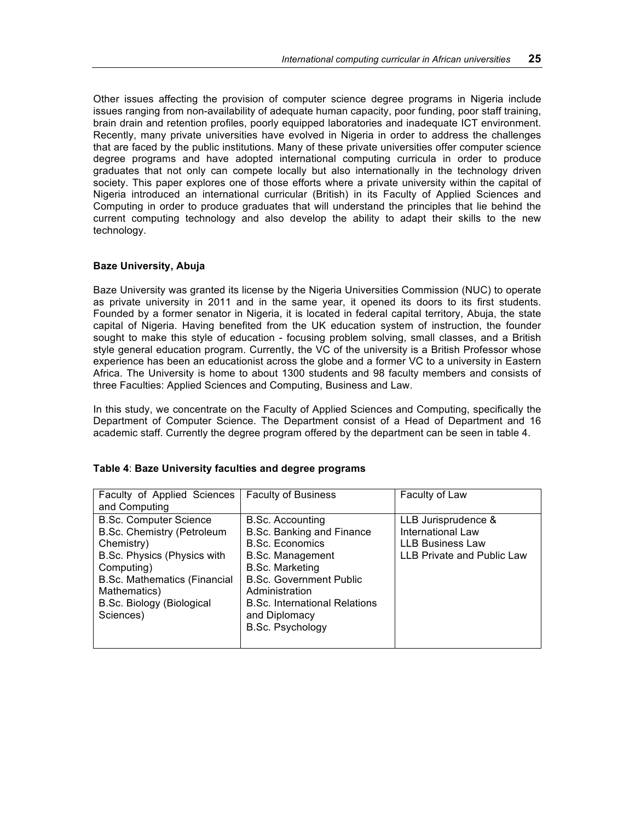Other issues affecting the provision of computer science degree programs in Nigeria include issues ranging from non-availability of adequate human capacity, poor funding, poor staff training, brain drain and retention profiles, poorly equipped laboratories and inadequate ICT environment. Recently, many private universities have evolved in Nigeria in order to address the challenges that are faced by the public institutions. Many of these private universities offer computer science degree programs and have adopted international computing curricula in order to produce graduates that not only can compete locally but also internationally in the technology driven society. This paper explores one of those efforts where a private university within the capital of Nigeria introduced an international curricular (British) in its Faculty of Applied Sciences and Computing in order to produce graduates that will understand the principles that lie behind the current computing technology and also develop the ability to adapt their skills to the new technology.

### **Baze University, Abuja**

Baze University was granted its license by the Nigeria Universities Commission (NUC) to operate as private university in 2011 and in the same year, it opened its doors to its first students. Founded by a former senator in Nigeria, it is located in federal capital territory, Abuja, the state capital of Nigeria. Having benefited from the UK education system of instruction, the founder sought to make this style of education - focusing problem solving, small classes, and a British style general education program. Currently, the VC of the university is a British Professor whose experience has been an educationist across the globe and a former VC to a university in Eastern Africa. The University is home to about 1300 students and 98 faculty members and consists of three Faculties: Applied Sciences and Computing, Business and Law.

In this study, we concentrate on the Faculty of Applied Sciences and Computing, specifically the Department of Computer Science. The Department consist of a Head of Department and 16 academic staff. Currently the degree program offered by the department can be seen in table 4.

| Faculty of Applied Sciences<br>and Computing                                                                                                                                                                                          | <b>Faculty of Business</b>                                                                                                                                                                                                                                                         | Faculty of Law                                                                                    |
|---------------------------------------------------------------------------------------------------------------------------------------------------------------------------------------------------------------------------------------|------------------------------------------------------------------------------------------------------------------------------------------------------------------------------------------------------------------------------------------------------------------------------------|---------------------------------------------------------------------------------------------------|
| <b>B.Sc. Computer Science</b><br><b>B.Sc. Chemistry (Petroleum</b><br>Chemistry)<br>B.Sc. Physics (Physics with<br>Computing)<br><b>B.Sc. Mathematics (Financial</b><br>Mathematics)<br><b>B.Sc. Biology (Biological</b><br>Sciences) | <b>B.Sc. Accounting</b><br><b>B.Sc. Banking and Finance</b><br><b>B.Sc. Economics</b><br><b>B.Sc. Management</b><br><b>B.Sc. Marketing</b><br><b>B.Sc. Government Public</b><br>Administration<br><b>B.Sc. International Relations</b><br>and Diplomacy<br><b>B.Sc. Psychology</b> | LLB Jurisprudence &<br>International Law<br><b>LLB Business Law</b><br>LLB Private and Public Law |

### **Table 4**: **Baze University faculties and degree programs**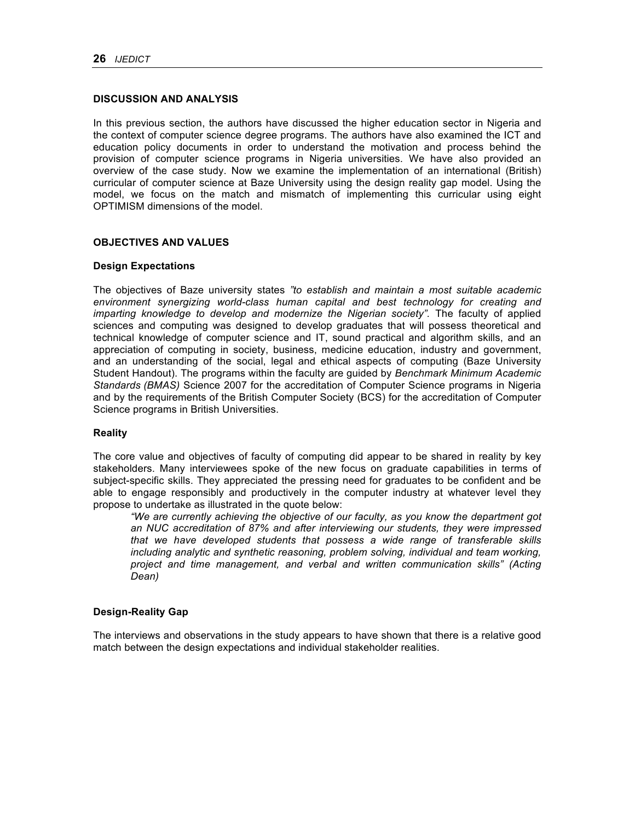### **DISCUSSION AND ANALYSIS**

In this previous section, the authors have discussed the higher education sector in Nigeria and the context of computer science degree programs. The authors have also examined the ICT and education policy documents in order to understand the motivation and process behind the provision of computer science programs in Nigeria universities. We have also provided an overview of the case study. Now we examine the implementation of an international (British) curricular of computer science at Baze University using the design reality gap model. Using the model, we focus on the match and mismatch of implementing this curricular using eight OPTIMISM dimensions of the model.

### **OBJECTIVES AND VALUES**

### **Design Expectations**

The objectives of Baze university states *"to establish and maintain a most suitable academic environment synergizing world-class human capital and best technology for creating and*  imparting knowledge to develop and modernize the Nigerian society". The faculty of applied sciences and computing was designed to develop graduates that will possess theoretical and technical knowledge of computer science and IT, sound practical and algorithm skills, and an appreciation of computing in society, business, medicine education, industry and government, and an understanding of the social, legal and ethical aspects of computing (Baze University Student Handout). The programs within the faculty are guided by *Benchmark Minimum Academic Standards (BMAS)* Science 2007 for the accreditation of Computer Science programs in Nigeria and by the requirements of the British Computer Society (BCS) for the accreditation of Computer Science programs in British Universities.

### **Reality**

The core value and objectives of faculty of computing did appear to be shared in reality by key stakeholders. Many interviewees spoke of the new focus on graduate capabilities in terms of subject-specific skills. They appreciated the pressing need for graduates to be confident and be able to engage responsibly and productively in the computer industry at whatever level they propose to undertake as illustrated in the quote below:

*"We are currently achieving the objective of our faculty, as you know the department got an NUC accreditation of 87% and after interviewing our students, they were impressed that we have developed students that possess a wide range of transferable skills including analytic and synthetic reasoning, problem solving, individual and team working, project and time management, and verbal and written communication skills" (Acting Dean)*

### **Design-Reality Gap**

The interviews and observations in the study appears to have shown that there is a relative good match between the design expectations and individual stakeholder realities.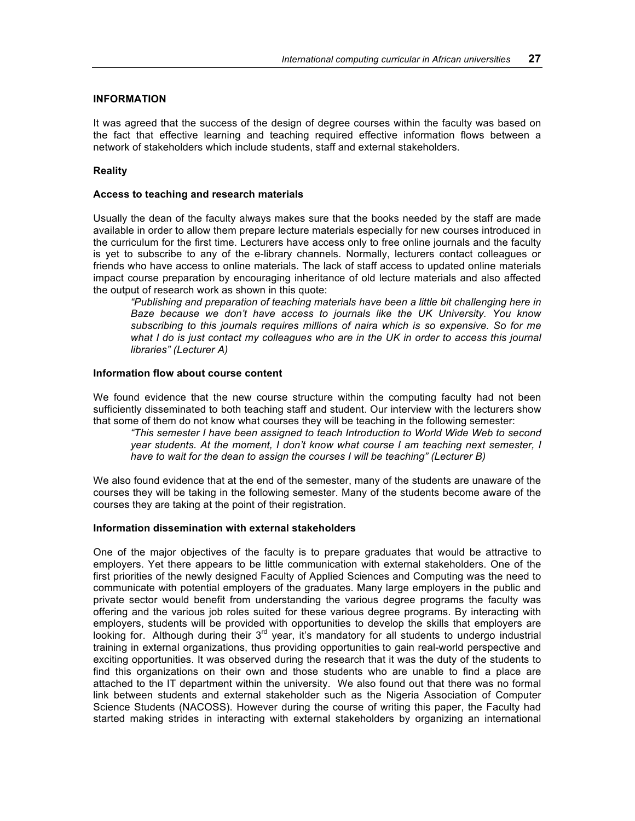### **INFORMATION**

It was agreed that the success of the design of degree courses within the faculty was based on the fact that effective learning and teaching required effective information flows between a network of stakeholders which include students, staff and external stakeholders.

### **Reality**

### **Access to teaching and research materials**

Usually the dean of the faculty always makes sure that the books needed by the staff are made available in order to allow them prepare lecture materials especially for new courses introduced in the curriculum for the first time. Lecturers have access only to free online journals and the faculty is yet to subscribe to any of the e-library channels. Normally, lecturers contact colleagues or friends who have access to online materials. The lack of staff access to updated online materials impact course preparation by encouraging inheritance of old lecture materials and also affected the output of research work as shown in this quote:

*"Publishing and preparation of teaching materials have been a little bit challenging here in Baze because we don't have access to journals like the UK University. You know subscribing to this journals requires millions of naira which is so expensive. So for me what I do is just contact my colleagues who are in the UK in order to access this journal libraries" (Lecturer A)*

### **Information flow about course content**

We found evidence that the new course structure within the computing faculty had not been sufficiently disseminated to both teaching staff and student. Our interview with the lecturers show that some of them do not know what courses they will be teaching in the following semester:

*"This semester I have been assigned to teach Introduction to World Wide Web to second year students. At the moment, I don't know what course I am teaching next semester, I have to wait for the dean to assign the courses I will be teaching" (Lecturer B)*

We also found evidence that at the end of the semester, many of the students are unaware of the courses they will be taking in the following semester. Many of the students become aware of the courses they are taking at the point of their registration.

#### **Information dissemination with external stakeholders**

One of the major objectives of the faculty is to prepare graduates that would be attractive to employers. Yet there appears to be little communication with external stakeholders. One of the first priorities of the newly designed Faculty of Applied Sciences and Computing was the need to communicate with potential employers of the graduates. Many large employers in the public and private sector would benefit from understanding the various degree programs the faculty was offering and the various job roles suited for these various degree programs. By interacting with employers, students will be provided with opportunities to develop the skills that employers are looking for. Although during their 3<sup>rd</sup> year, it's mandatory for all students to undergo industrial training in external organizations, thus providing opportunities to gain real-world perspective and exciting opportunities. It was observed during the research that it was the duty of the students to find this organizations on their own and those students who are unable to find a place are attached to the IT department within the university. We also found out that there was no formal link between students and external stakeholder such as the Nigeria Association of Computer Science Students (NACOSS). However during the course of writing this paper, the Faculty had started making strides in interacting with external stakeholders by organizing an international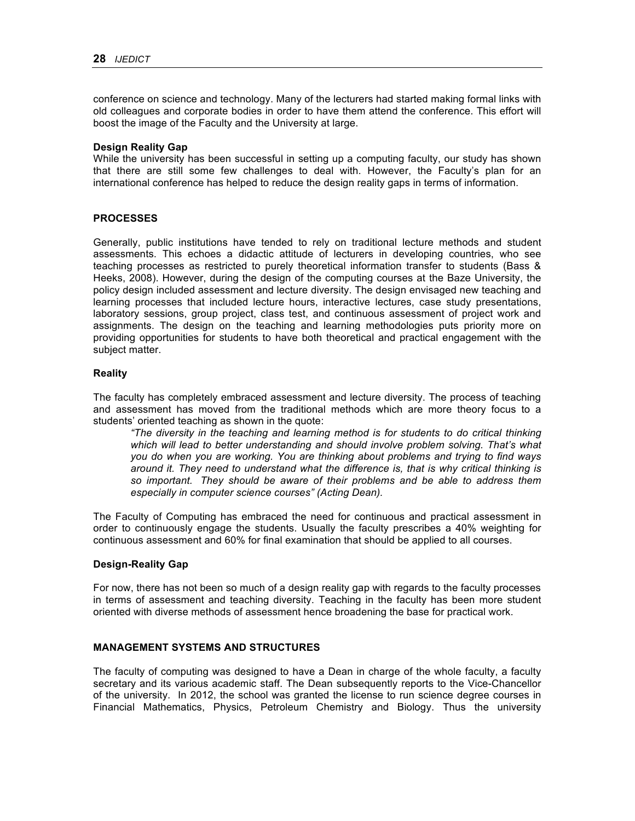conference on science and technology. Many of the lecturers had started making formal links with old colleagues and corporate bodies in order to have them attend the conference. This effort will boost the image of the Faculty and the University at large.

### **Design Reality Gap**

While the university has been successful in setting up a computing faculty, our study has shown that there are still some few challenges to deal with. However, the Faculty's plan for an international conference has helped to reduce the design reality gaps in terms of information.

### **PROCESSES**

Generally, public institutions have tended to rely on traditional lecture methods and student assessments. This echoes a didactic attitude of lecturers in developing countries, who see teaching processes as restricted to purely theoretical information transfer to students (Bass & Heeks, 2008). However, during the design of the computing courses at the Baze University, the policy design included assessment and lecture diversity. The design envisaged new teaching and learning processes that included lecture hours, interactive lectures, case study presentations, laboratory sessions, group project, class test, and continuous assessment of project work and assignments. The design on the teaching and learning methodologies puts priority more on providing opportunities for students to have both theoretical and practical engagement with the subject matter.

### **Reality**

The faculty has completely embraced assessment and lecture diversity. The process of teaching and assessment has moved from the traditional methods which are more theory focus to a students' oriented teaching as shown in the quote:

*"The diversity in the teaching and learning method is for students to do critical thinking which will lead to better understanding and should involve problem solving. That's what you do when you are working. You are thinking about problems and trying to find ways around it. They need to understand what the difference is, that is why critical thinking is so important. They should be aware of their problems and be able to address them especially in computer science courses" (Acting Dean).*

The Faculty of Computing has embraced the need for continuous and practical assessment in order to continuously engage the students. Usually the faculty prescribes a 40% weighting for continuous assessment and 60% for final examination that should be applied to all courses.

### **Design-Reality Gap**

For now, there has not been so much of a design reality gap with regards to the faculty processes in terms of assessment and teaching diversity. Teaching in the faculty has been more student oriented with diverse methods of assessment hence broadening the base for practical work.

### **MANAGEMENT SYSTEMS AND STRUCTURES**

The faculty of computing was designed to have a Dean in charge of the whole faculty, a faculty secretary and its various academic staff. The Dean subsequently reports to the Vice-Chancellor of the university. In 2012, the school was granted the license to run science degree courses in Financial Mathematics, Physics, Petroleum Chemistry and Biology. Thus the university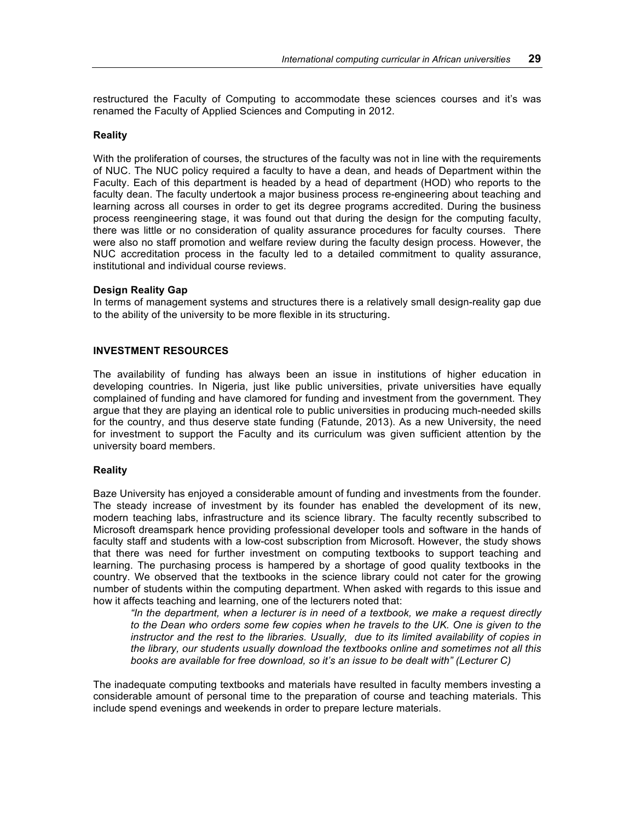restructured the Faculty of Computing to accommodate these sciences courses and it's was renamed the Faculty of Applied Sciences and Computing in 2012.

#### **Reality**

With the proliferation of courses, the structures of the faculty was not in line with the requirements of NUC. The NUC policy required a faculty to have a dean, and heads of Department within the Faculty. Each of this department is headed by a head of department (HOD) who reports to the faculty dean. The faculty undertook a major business process re-engineering about teaching and learning across all courses in order to get its degree programs accredited. During the business process reengineering stage, it was found out that during the design for the computing faculty, there was little or no consideration of quality assurance procedures for faculty courses. There were also no staff promotion and welfare review during the faculty design process. However, the NUC accreditation process in the faculty led to a detailed commitment to quality assurance, institutional and individual course reviews.

### **Design Reality Gap**

In terms of management systems and structures there is a relatively small design-reality gap due to the ability of the university to be more flexible in its structuring.

### **INVESTMENT RESOURCES**

The availability of funding has always been an issue in institutions of higher education in developing countries. In Nigeria, just like public universities, private universities have equally complained of funding and have clamored for funding and investment from the government. They argue that they are playing an identical role to public universities in producing much-needed skills for the country, and thus deserve state funding (Fatunde, 2013). As a new University, the need for investment to support the Faculty and its curriculum was given sufficient attention by the university board members.

#### **Reality**

Baze University has enjoyed a considerable amount of funding and investments from the founder. The steady increase of investment by its founder has enabled the development of its new, modern teaching labs, infrastructure and its science library. The faculty recently subscribed to Microsoft dreamspark hence providing professional developer tools and software in the hands of faculty staff and students with a low-cost subscription from Microsoft. However, the study shows that there was need for further investment on computing textbooks to support teaching and learning. The purchasing process is hampered by a shortage of good quality textbooks in the country. We observed that the textbooks in the science library could not cater for the growing number of students within the computing department. When asked with regards to this issue and how it affects teaching and learning, one of the lecturers noted that:

*"In the department, when a lecturer is in need of a textbook, we make a request directly to the Dean who orders some few copies when he travels to the UK. One is given to the instructor and the rest to the libraries. Usually, due to its limited availability of copies in the library, our students usually download the textbooks online and sometimes not all this books are available for free download, so it's an issue to be dealt with" (Lecturer C)*

The inadequate computing textbooks and materials have resulted in faculty members investing a considerable amount of personal time to the preparation of course and teaching materials. This include spend evenings and weekends in order to prepare lecture materials.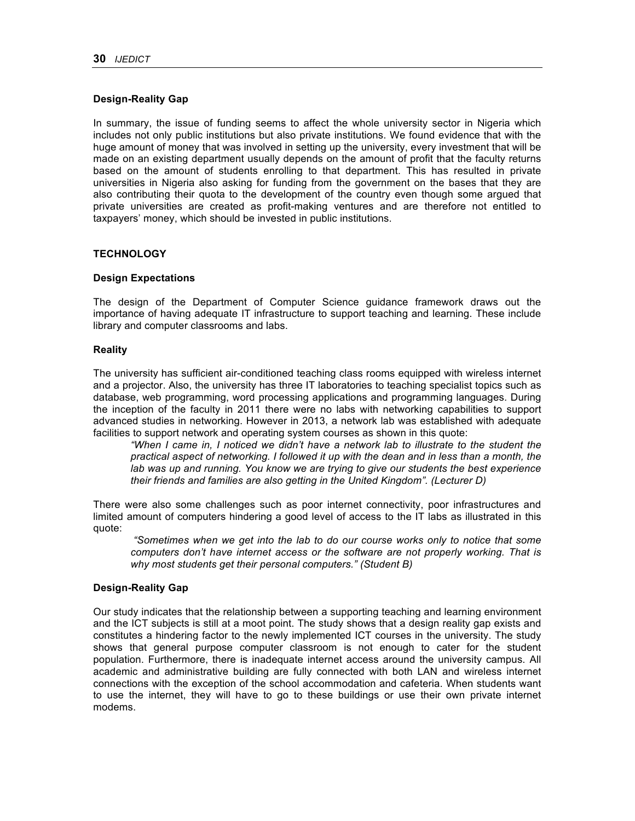### **Design-Reality Gap**

In summary, the issue of funding seems to affect the whole university sector in Nigeria which includes not only public institutions but also private institutions. We found evidence that with the huge amount of money that was involved in setting up the university, every investment that will be made on an existing department usually depends on the amount of profit that the faculty returns based on the amount of students enrolling to that department. This has resulted in private universities in Nigeria also asking for funding from the government on the bases that they are also contributing their quota to the development of the country even though some argued that private universities are created as profit-making ventures and are therefore not entitled to taxpayers' money, which should be invested in public institutions.

### **TECHNOLOGY**

### **Design Expectations**

The design of the Department of Computer Science guidance framework draws out the importance of having adequate IT infrastructure to support teaching and learning. These include library and computer classrooms and labs.

### **Reality**

The university has sufficient air-conditioned teaching class rooms equipped with wireless internet and a projector. Also, the university has three IT laboratories to teaching specialist topics such as database, web programming, word processing applications and programming languages. During the inception of the faculty in 2011 there were no labs with networking capabilities to support advanced studies in networking. However in 2013, a network lab was established with adequate facilities to support network and operating system courses as shown in this quote:

*"When I came in, I noticed we didn't have a network lab to illustrate to the student the practical aspect of networking. I followed it up with the dean and in less than a month, the lab was up and running. You know we are trying to give our students the best experience their friends and families are also getting in the United Kingdom". (Lecturer D)*

There were also some challenges such as poor internet connectivity, poor infrastructures and limited amount of computers hindering a good level of access to the IT labs as illustrated in this quote:

*"Sometimes when we get into the lab to do our course works only to notice that some computers don't have internet access or the software are not properly working. That is why most students get their personal computers." (Student B)*

### **Design-Reality Gap**

Our study indicates that the relationship between a supporting teaching and learning environment and the ICT subjects is still at a moot point. The study shows that a design reality gap exists and constitutes a hindering factor to the newly implemented ICT courses in the university. The study shows that general purpose computer classroom is not enough to cater for the student population. Furthermore, there is inadequate internet access around the university campus. All academic and administrative building are fully connected with both LAN and wireless internet connections with the exception of the school accommodation and cafeteria. When students want to use the internet, they will have to go to these buildings or use their own private internet modems.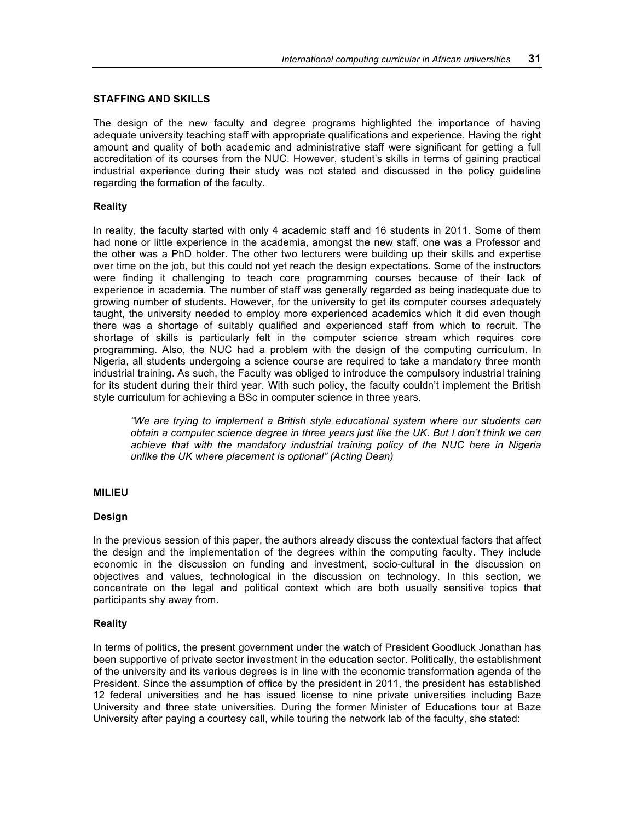### **STAFFING AND SKILLS**

The design of the new faculty and degree programs highlighted the importance of having adequate university teaching staff with appropriate qualifications and experience. Having the right amount and quality of both academic and administrative staff were significant for getting a full accreditation of its courses from the NUC. However, student's skills in terms of gaining practical industrial experience during their study was not stated and discussed in the policy guideline regarding the formation of the faculty.

### **Reality**

In reality, the faculty started with only 4 academic staff and 16 students in 2011. Some of them had none or little experience in the academia, amongst the new staff, one was a Professor and the other was a PhD holder. The other two lecturers were building up their skills and expertise over time on the job, but this could not yet reach the design expectations. Some of the instructors were finding it challenging to teach core programming courses because of their lack of experience in academia. The number of staff was generally regarded as being inadequate due to growing number of students. However, for the university to get its computer courses adequately taught, the university needed to employ more experienced academics which it did even though there was a shortage of suitably qualified and experienced staff from which to recruit. The shortage of skills is particularly felt in the computer science stream which requires core programming. Also, the NUC had a problem with the design of the computing curriculum. In Nigeria, all students undergoing a science course are required to take a mandatory three month industrial training. As such, the Faculty was obliged to introduce the compulsory industrial training for its student during their third year. With such policy, the faculty couldn't implement the British style curriculum for achieving a BSc in computer science in three years.

*"We are trying to implement a British style educational system where our students can obtain a computer science degree in three years just like the UK. But I don't think we can achieve that with the mandatory industrial training policy of the NUC here in Nigeria unlike the UK where placement is optional" (Acting Dean)*

### **MILIEU**

### **Design**

In the previous session of this paper, the authors already discuss the contextual factors that affect the design and the implementation of the degrees within the computing faculty. They include economic in the discussion on funding and investment, socio-cultural in the discussion on objectives and values, technological in the discussion on technology. In this section, we concentrate on the legal and political context which are both usually sensitive topics that participants shy away from.

### **Reality**

In terms of politics, the present government under the watch of President Goodluck Jonathan has been supportive of private sector investment in the education sector. Politically, the establishment of the university and its various degrees is in line with the economic transformation agenda of the President. Since the assumption of office by the president in 2011, the president has established 12 federal universities and he has issued license to nine private universities including Baze University and three state universities. During the former Minister of Educations tour at Baze University after paying a courtesy call, while touring the network lab of the faculty, she stated: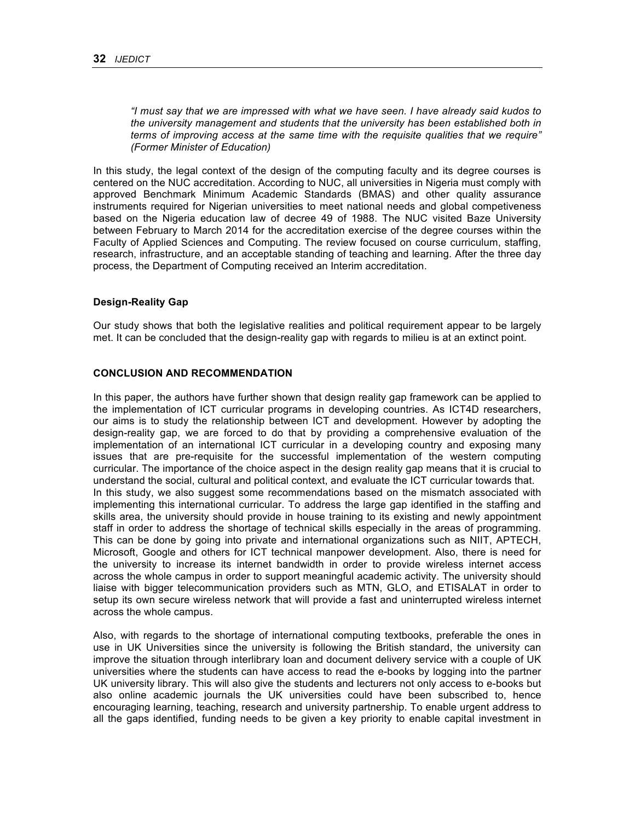*"I must say that we are impressed with what we have seen. I have already said kudos to the university management and students that the university has been established both in terms of improving access at the same time with the requisite qualities that we require" (Former Minister of Education)* 

In this study, the legal context of the design of the computing faculty and its degree courses is centered on the NUC accreditation. According to NUC, all universities in Nigeria must comply with approved Benchmark Minimum Academic Standards (BMAS) and other quality assurance instruments required for Nigerian universities to meet national needs and global competiveness based on the Nigeria education law of decree 49 of 1988. The NUC visited Baze University between February to March 2014 for the accreditation exercise of the degree courses within the Faculty of Applied Sciences and Computing. The review focused on course curriculum, staffing, research, infrastructure, and an acceptable standing of teaching and learning. After the three day process, the Department of Computing received an Interim accreditation.

### **Design-Reality Gap**

Our study shows that both the legislative realities and political requirement appear to be largely met. It can be concluded that the design-reality gap with regards to milieu is at an extinct point.

### **CONCLUSION AND RECOMMENDATION**

In this paper, the authors have further shown that design reality gap framework can be applied to the implementation of ICT curricular programs in developing countries. As ICT4D researchers, our aims is to study the relationship between ICT and development. However by adopting the design-reality gap, we are forced to do that by providing a comprehensive evaluation of the implementation of an international ICT curricular in a developing country and exposing many issues that are pre-requisite for the successful implementation of the western computing curricular. The importance of the choice aspect in the design reality gap means that it is crucial to understand the social, cultural and political context, and evaluate the ICT curricular towards that. In this study, we also suggest some recommendations based on the mismatch associated with implementing this international curricular. To address the large gap identified in the staffing and skills area, the university should provide in house training to its existing and newly appointment staff in order to address the shortage of technical skills especially in the areas of programming. This can be done by going into private and international organizations such as NIIT, APTECH, Microsoft, Google and others for ICT technical manpower development. Also, there is need for the university to increase its internet bandwidth in order to provide wireless internet access across the whole campus in order to support meaningful academic activity. The university should liaise with bigger telecommunication providers such as MTN, GLO, and ETISALAT in order to setup its own secure wireless network that will provide a fast and uninterrupted wireless internet across the whole campus.

Also, with regards to the shortage of international computing textbooks, preferable the ones in use in UK Universities since the university is following the British standard, the university can improve the situation through interlibrary loan and document delivery service with a couple of UK universities where the students can have access to read the e-books by logging into the partner UK university library. This will also give the students and lecturers not only access to e-books but also online academic journals the UK universities could have been subscribed to, hence encouraging learning, teaching, research and university partnership. To enable urgent address to all the gaps identified, funding needs to be given a key priority to enable capital investment in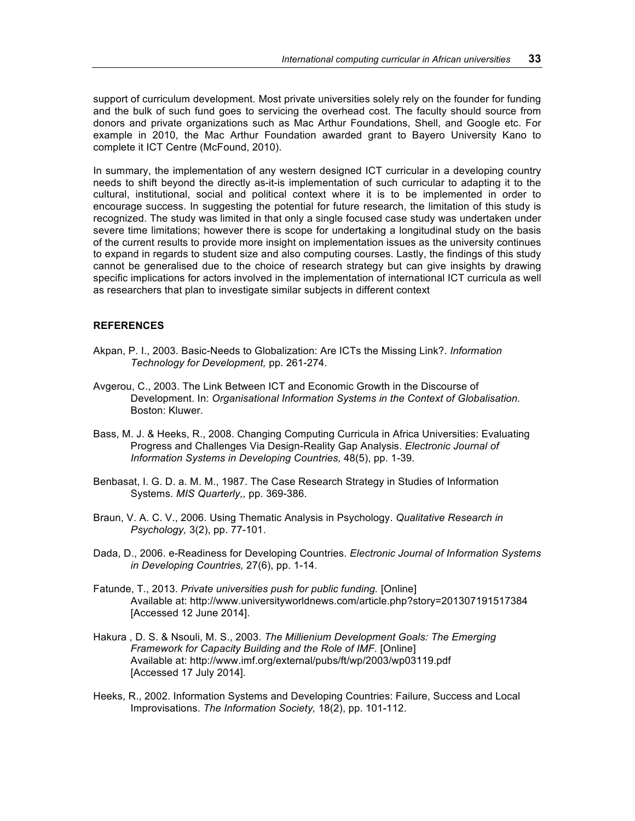support of curriculum development. Most private universities solely rely on the founder for funding and the bulk of such fund goes to servicing the overhead cost. The faculty should source from donors and private organizations such as Mac Arthur Foundations, Shell, and Google etc. For example in 2010, the Mac Arthur Foundation awarded grant to Bayero University Kano to complete it ICT Centre (McFound, 2010).

In summary, the implementation of any western designed ICT curricular in a developing country needs to shift beyond the directly as-it-is implementation of such curricular to adapting it to the cultural, institutional, social and political context where it is to be implemented in order to encourage success. In suggesting the potential for future research, the limitation of this study is recognized. The study was limited in that only a single focused case study was undertaken under severe time limitations; however there is scope for undertaking a longitudinal study on the basis of the current results to provide more insight on implementation issues as the university continues to expand in regards to student size and also computing courses. Lastly, the findings of this study cannot be generalised due to the choice of research strategy but can give insights by drawing specific implications for actors involved in the implementation of international ICT curricula as well as researchers that plan to investigate similar subjects in different context

## **REFERENCES**

- Akpan, P. I., 2003. Basic-Needs to Globalization: Are ICTs the Missing Link?. *Information Technology for Development,* pp. 261-274.
- Avgerou, C., 2003. The Link Between ICT and Economic Growth in the Discourse of Development. In: *Organisational Information Systems in the Context of Globalisation.*  Boston: Kluwer.
- Bass, M. J. & Heeks, R., 2008. Changing Computing Curricula in Africa Universities: Evaluating Progress and Challenges Via Design-Reality Gap Analysis. *Electronic Journal of Information Systems in Developing Countries,* 48(5), pp. 1-39.
- Benbasat, I. G. D. a. M. M., 1987. The Case Research Strategy in Studies of Information Systems. *MIS Quarterly,,* pp. 369-386.
- Braun, V. A. C. V., 2006. Using Thematic Analysis in Psychology. *Qualitative Research in Psychology,* 3(2), pp. 77-101.
- Dada, D., 2006. e-Readiness for Developing Countries. *Electronic Journal of Information Systems in Developing Countries,* 27(6), pp. 1-14.
- Fatunde, T., 2013. *Private universities push for public funding.* [Online] Available at: http://www.universityworldnews.com/article.php?story=201307191517384 [Accessed 12 June 2014].
- Hakura , D. S. & Nsouli, M. S., 2003. *The Millienium Development Goals: The Emerging Framework for Capacity Building and the Role of IMF.* **[Online]** Available at: http://www.imf.org/external/pubs/ft/wp/2003/wp03119.pdf [Accessed 17 July 2014].
- Heeks, R., 2002. Information Systems and Developing Countries: Failure, Success and Local Improvisations. *The Information Society,* 18(2), pp. 101-112.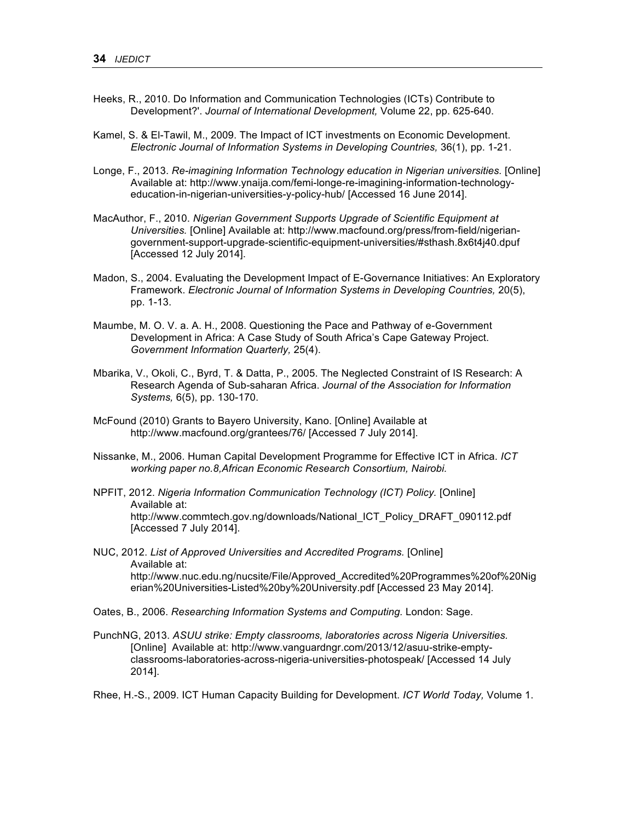- Heeks, R., 2010. Do Information and Communication Technologies (ICTs) Contribute to Development?'. *Journal of International Development,* Volume 22, pp. 625-640.
- Kamel, S. & El-Tawil, M., 2009. The Impact of ICT investments on Economic Development. *Electronic Journal of Information Systems in Developing Countries,* 36(1), pp. 1-21.
- Longe, F., 2013. *Re-imagining Information Technology education in Nigerian universities.* [Online] Available at: http://www.ynaija.com/femi-longe-re-imagining-information-technologyeducation-in-nigerian-universities-y-policy-hub/ [Accessed 16 June 2014].
- MacAuthor, F., 2010. *Nigerian Government Supports Upgrade of Scientific Equipment at Universities.* [Online] Available at: http://www.macfound.org/press/from-field/nigeriangovernment-support-upgrade-scientific-equipment-universities/#sthash.8x6t4j40.dpuf [Accessed 12 July 2014].
- Madon, S., 2004. Evaluating the Development Impact of E-Governance Initiatives: An Exploratory Framework. *Electronic Journal of Information Systems in Developing Countries,* 20(5), pp. 1-13.
- Maumbe, M. O. V. a. A. H., 2008. Questioning the Pace and Pathway of e-Government Development in Africa: A Case Study of South Africa's Cape Gateway Project. *Government Information Quarterly,* 25(4).
- Mbarika, V., Okoli, C., Byrd, T. & Datta, P., 2005. The Neglected Constraint of IS Research: A Research Agenda of Sub-saharan Africa. *Journal of the Association for Information Systems,* 6(5), pp. 130-170.
- McFound (2010) Grants to Bayero University, Kano. [Online] Available at http://www.macfound.org/grantees/76/ [Accessed 7 July 2014].
- Nissanke, M., 2006. Human Capital Development Programme for Effective ICT in Africa. *ICT working paper no.8,African Economic Research Consortium, Nairobi.*
- NPFIT, 2012. *Nigeria Information Communication Technology (ICT) Policy.* [Online] Available at: http://www.commtech.gov.ng/downloads/National\_ICT\_Policy\_DRAFT\_090112.pdf [Accessed 7 July 2014].
- NUC, 2012. *List of Approved Universities and Accredited Programs.* [Online] Available at: http://www.nuc.edu.ng/nucsite/File/Approved\_Accredited%20Programmes%20of%20Nig erian%20Universities-Listed%20by%20University.pdf [Accessed 23 May 2014].
- Oates, B., 2006. *Researching Information Systems and Computing.* London: Sage.
- PunchNG, 2013. *ASUU strike: Empty classrooms, laboratories across Nigeria Universities.*  [Online] Available at: http://www.vanguardngr.com/2013/12/asuu-strike-emptyclassrooms-laboratories-across-nigeria-universities-photospeak/ [Accessed 14 July 2014].

Rhee, H.-S., 2009. ICT Human Capacity Building for Development. *ICT World Today,* Volume 1.